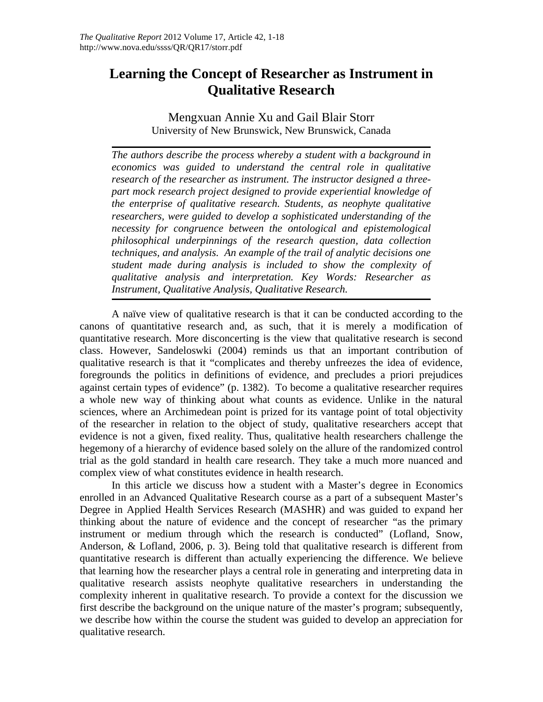# **Learning the Concept of Researcher as Instrument in Qualitative Research**

Mengxuan Annie Xu and Gail Blair Storr University of New Brunswick, New Brunswick, Canada

*The authors describe the process whereby a student with a background in economics was guided to understand the central role in qualitative research of the researcher as instrument. The instructor designed a threepart mock research project designed to provide experiential knowledge of the enterprise of qualitative research. Students, as neophyte qualitative researchers, were guided to develop a sophisticated understanding of the necessity for congruence between the ontological and epistemological philosophical underpinnings of the research question, data collection techniques, and analysis. An example of the trail of analytic decisions one student made during analysis is included to show the complexity of qualitative analysis and interpretation. Key Words: Researcher as Instrument, Qualitative Analysis, Qualitative Research.*

A naïve view of qualitative research is that it can be conducted according to the canons of quantitative research and, as such, that it is merely a modification of quantitative research. More disconcerting is the view that qualitative research is second class. However, Sandeloswki (2004) reminds us that an important contribution of qualitative research is that it "complicates and thereby unfreezes the idea of evidence, foregrounds the politics in definitions of evidence, and precludes a priori prejudices against certain types of evidence" (p. 1382). To become a qualitative researcher requires a whole new way of thinking about what counts as evidence. Unlike in the natural sciences, where an Archimedean point is prized for its vantage point of total objectivity of the researcher in relation to the object of study, qualitative researchers accept that evidence is not a given, fixed reality. Thus, qualitative health researchers challenge the hegemony of a hierarchy of evidence based solely on the allure of the randomized control trial as the gold standard in health care research. They take a much more nuanced and complex view of what constitutes evidence in health research.

In this article we discuss how a student with a Master's degree in Economics enrolled in an Advanced Qualitative Research course as a part of a subsequent Master's Degree in Applied Health Services Research (MASHR) and was guided to expand her thinking about the nature of evidence and the concept of researcher "as the primary instrument or medium through which the research is conducted" (Lofland, Snow, Anderson, & Lofland, 2006, p. 3). Being told that qualitative research is different from quantitative research is different than actually experiencing the difference. We believe that learning how the researcher plays a central role in generating and interpreting data in qualitative research assists neophyte qualitative researchers in understanding the complexity inherent in qualitative research. To provide a context for the discussion we first describe the background on the unique nature of the master's program; subsequently, we describe how within the course the student was guided to develop an appreciation for qualitative research.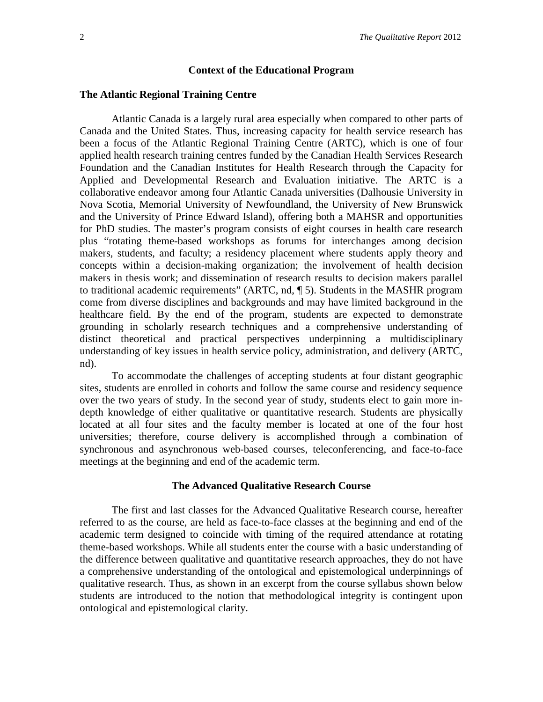## **Context of the Educational Program**

# **The Atlantic Regional Training Centre**

Atlantic Canada is a largely rural area especially when compared to other parts of Canada and the United States. Thus, increasing capacity for health service research has been a focus of the Atlantic Regional Training Centre (ARTC), which is one of four applied health research training centres funded by the Canadian Health Services Research Foundation and the Canadian Institutes for Health Research through the Capacity for Applied and Developmental Research and Evaluation initiative. The ARTC is a collaborative endeavor among four Atlantic Canada universities (Dalhousie University in Nova Scotia, Memorial University of Newfoundland, the University of New Brunswick and the University of Prince Edward Island), offering both a MAHSR and opportunities for PhD studies. The master's program consists of eight courses in health care research plus "rotating theme-based workshops as forums for interchanges among decision makers, students, and faculty; a residency placement where students apply theory and concepts within a decision-making organization; the involvement of health decision makers in thesis work; and dissemination of research results to decision makers parallel to traditional academic requirements" (ARTC, nd, ¶ 5). Students in the MASHR program come from diverse disciplines and backgrounds and may have limited background in the healthcare field. By the end of the program, students are expected to demonstrate grounding in scholarly research techniques and a comprehensive understanding of distinct theoretical and practical perspectives underpinning a multidisciplinary understanding of key issues in health service policy, administration, and delivery (ARTC, nd).

To accommodate the challenges of accepting students at four distant geographic sites, students are enrolled in cohorts and follow the same course and residency sequence over the two years of study. In the second year of study, students elect to gain more indepth knowledge of either qualitative or quantitative research. Students are physically located at all four sites and the faculty member is located at one of the four host universities; therefore, course delivery is accomplished through a combination of synchronous and asynchronous web-based courses, teleconferencing, and face-to-face meetings at the beginning and end of the academic term.

# **The Advanced Qualitative Research Course**

The first and last classes for the Advanced Qualitative Research course, hereafter referred to as the course, are held as face-to-face classes at the beginning and end of the academic term designed to coincide with timing of the required attendance at rotating theme-based workshops. While all students enter the course with a basic understanding of the difference between qualitative and quantitative research approaches, they do not have a comprehensive understanding of the ontological and epistemological underpinnings of qualitative research. Thus, as shown in an excerpt from the course syllabus shown below students are introduced to the notion that methodological integrity is contingent upon ontological and epistemological clarity.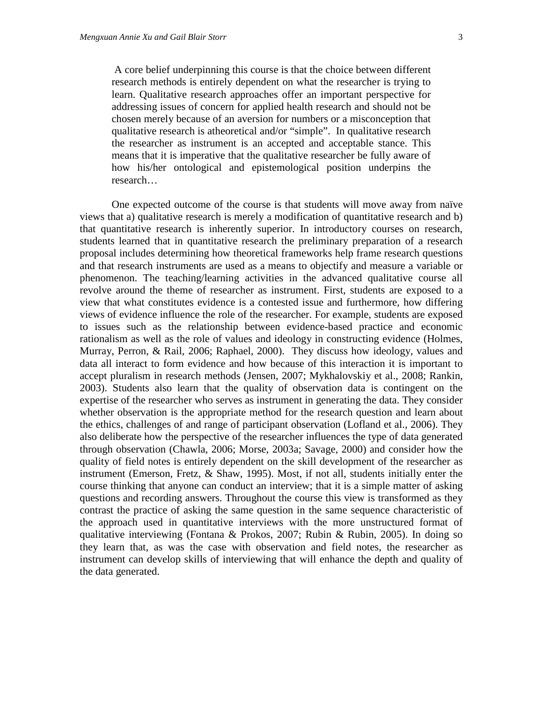A core belief underpinning this course is that the choice between different research methods is entirely dependent on what the researcher is trying to learn. Qualitative research approaches offer an important perspective for addressing issues of concern for applied health research and should not be chosen merely because of an aversion for numbers or a misconception that qualitative research is atheoretical and/or "simple". In qualitative research the researcher as instrument is an accepted and acceptable stance. This means that it is imperative that the qualitative researcher be fully aware of how his/her ontological and epistemological position underpins the research…

One expected outcome of the course is that students will move away from naïve views that a) qualitative research is merely a modification of quantitative research and b) that quantitative research is inherently superior. In introductory courses on research, students learned that in quantitative research the preliminary preparation of a research proposal includes determining how theoretical frameworks help frame research questions and that research instruments are used as a means to objectify and measure a variable or phenomenon. The teaching/learning activities in the advanced qualitative course all revolve around the theme of researcher as instrument. First, students are exposed to a view that what constitutes evidence is a contested issue and furthermore, how differing views of evidence influence the role of the researcher. For example, students are exposed to issues such as the relationship between evidence-based practice and economic rationalism as well as the role of values and ideology in constructing evidence (Holmes, Murray, Perron, & Rail, 2006; Raphael, 2000). They discuss how ideology, values and data all interact to form evidence and how because of this interaction it is important to accept pluralism in research methods (Jensen, 2007; Mykhalovskiy et al., 2008; Rankin, 2003). Students also learn that the quality of observation data is contingent on the expertise of the researcher who serves as instrument in generating the data. They consider whether observation is the appropriate method for the research question and learn about the ethics, challenges of and range of participant observation (Lofland et al., 2006). They also deliberate how the perspective of the researcher influences the type of data generated through observation (Chawla, 2006; Morse, 2003a; Savage, 2000) and consider how the quality of field notes is entirely dependent on the skill development of the researcher as instrument (Emerson, Fretz, & Shaw, 1995). Most, if not all, students initially enter the course thinking that anyone can conduct an interview; that it is a simple matter of asking questions and recording answers. Throughout the course this view is transformed as they contrast the practice of asking the same question in the same sequence characteristic of the approach used in quantitative interviews with the more unstructured format of qualitative interviewing (Fontana & Prokos, 2007; Rubin & Rubin, 2005). In doing so they learn that, as was the case with observation and field notes, the researcher as instrument can develop skills of interviewing that will enhance the depth and quality of the data generated.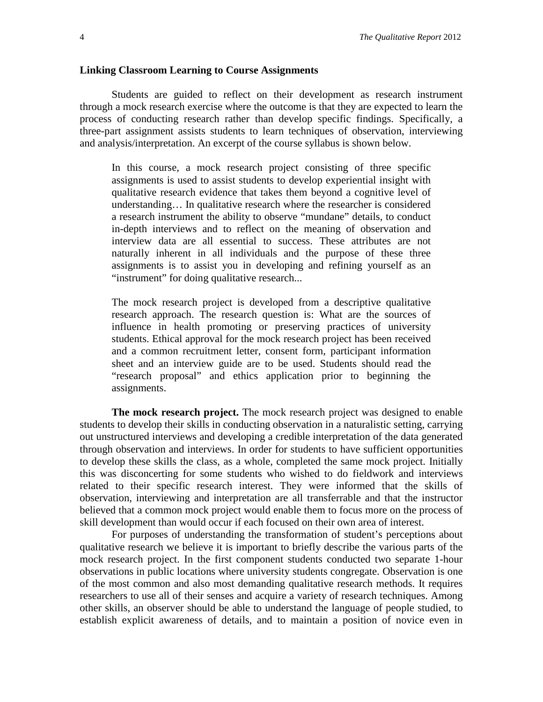#### **Linking Classroom Learning to Course Assignments**

Students are guided to reflect on their development as research instrument through a mock research exercise where the outcome is that they are expected to learn the process of conducting research rather than develop specific findings. Specifically, a three-part assignment assists students to learn techniques of observation, interviewing and analysis/interpretation. An excerpt of the course syllabus is shown below.

In this course, a mock research project consisting of three specific assignments is used to assist students to develop experiential insight with qualitative research evidence that takes them beyond a cognitive level of understanding… In qualitative research where the researcher is considered a research instrument the ability to observe "mundane" details, to conduct in-depth interviews and to reflect on the meaning of observation and interview data are all essential to success. These attributes are not naturally inherent in all individuals and the purpose of these three assignments is to assist you in developing and refining yourself as an "instrument" for doing qualitative research...

The mock research project is developed from a descriptive qualitative research approach. The research question is: What are the sources of influence in health promoting or preserving practices of university students. Ethical approval for the mock research project has been received and a common recruitment letter, consent form, participant information sheet and an interview guide are to be used. Students should read the "research proposal" and ethics application prior to beginning the assignments.

**The mock research project.** The mock research project was designed to enable students to develop their skills in conducting observation in a naturalistic setting, carrying out unstructured interviews and developing a credible interpretation of the data generated through observation and interviews. In order for students to have sufficient opportunities to develop these skills the class, as a whole, completed the same mock project. Initially this was disconcerting for some students who wished to do fieldwork and interviews related to their specific research interest. They were informed that the skills of observation, interviewing and interpretation are all transferrable and that the instructor believed that a common mock project would enable them to focus more on the process of skill development than would occur if each focused on their own area of interest.

For purposes of understanding the transformation of student's perceptions about qualitative research we believe it is important to briefly describe the various parts of the mock research project. In the first component students conducted two separate 1-hour observations in public locations where university students congregate. Observation is one of the most common and also most demanding qualitative research methods. It requires researchers to use all of their senses and acquire a variety of research techniques. Among other skills, an observer should be able to understand the language of people studied, to establish explicit awareness of details, and to maintain a position of novice even in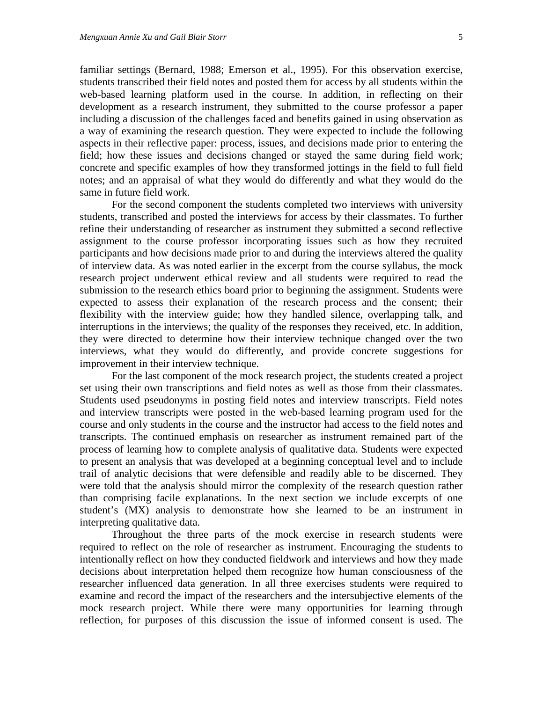familiar settings (Bernard, 1988; Emerson et al., 1995). For this observation exercise, students transcribed their field notes and posted them for access by all students within the web-based learning platform used in the course. In addition, in reflecting on their development as a research instrument, they submitted to the course professor a paper including a discussion of the challenges faced and benefits gained in using observation as a way of examining the research question. They were expected to include the following aspects in their reflective paper: process, issues, and decisions made prior to entering the field; how these issues and decisions changed or stayed the same during field work; concrete and specific examples of how they transformed jottings in the field to full field notes; and an appraisal of what they would do differently and what they would do the same in future field work.

For the second component the students completed two interviews with university students, transcribed and posted the interviews for access by their classmates. To further refine their understanding of researcher as instrument they submitted a second reflective assignment to the course professor incorporating issues such as how they recruited participants and how decisions made prior to and during the interviews altered the quality of interview data. As was noted earlier in the excerpt from the course syllabus, the mock research project underwent ethical review and all students were required to read the submission to the research ethics board prior to beginning the assignment. Students were expected to assess their explanation of the research process and the consent; their flexibility with the interview guide; how they handled silence, overlapping talk, and interruptions in the interviews; the quality of the responses they received, etc. In addition, they were directed to determine how their interview technique changed over the two interviews, what they would do differently, and provide concrete suggestions for improvement in their interview technique.

For the last component of the mock research project, the students created a project set using their own transcriptions and field notes as well as those from their classmates. Students used pseudonyms in posting field notes and interview transcripts. Field notes and interview transcripts were posted in the web-based learning program used for the course and only students in the course and the instructor had access to the field notes and transcripts. The continued emphasis on researcher as instrument remained part of the process of learning how to complete analysis of qualitative data. Students were expected to present an analysis that was developed at a beginning conceptual level and to include trail of analytic decisions that were defensible and readily able to be discerned. They were told that the analysis should mirror the complexity of the research question rather than comprising facile explanations. In the next section we include excerpts of one student's (MX) analysis to demonstrate how she learned to be an instrument in interpreting qualitative data.

Throughout the three parts of the mock exercise in research students were required to reflect on the role of researcher as instrument. Encouraging the students to intentionally reflect on how they conducted fieldwork and interviews and how they made decisions about interpretation helped them recognize how human consciousness of the researcher influenced data generation. In all three exercises students were required to examine and record the impact of the researchers and the intersubjective elements of the mock research project. While there were many opportunities for learning through reflection, for purposes of this discussion the issue of informed consent is used. The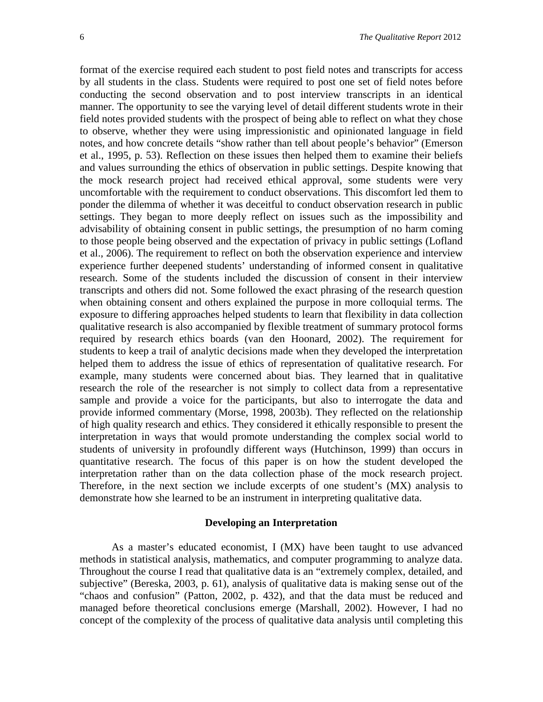format of the exercise required each student to post field notes and transcripts for access by all students in the class. Students were required to post one set of field notes before conducting the second observation and to post interview transcripts in an identical manner. The opportunity to see the varying level of detail different students wrote in their field notes provided students with the prospect of being able to reflect on what they chose to observe, whether they were using impressionistic and opinionated language in field notes, and how concrete details "show rather than tell about people's behavior" (Emerson et al., 1995, p. 53). Reflection on these issues then helped them to examine their beliefs and values surrounding the ethics of observation in public settings. Despite knowing that the mock research project had received ethical approval, some students were very uncomfortable with the requirement to conduct observations. This discomfort led them to ponder the dilemma of whether it was deceitful to conduct observation research in public settings. They began to more deeply reflect on issues such as the impossibility and advisability of obtaining consent in public settings, the presumption of no harm coming to those people being observed and the expectation of privacy in public settings (Lofland et al., 2006). The requirement to reflect on both the observation experience and interview experience further deepened students' understanding of informed consent in qualitative research. Some of the students included the discussion of consent in their interview transcripts and others did not. Some followed the exact phrasing of the research question when obtaining consent and others explained the purpose in more colloquial terms. The exposure to differing approaches helped students to learn that flexibility in data collection qualitative research is also accompanied by flexible treatment of summary protocol forms required by research ethics boards (van den Hoonard, 2002). The requirement for students to keep a trail of analytic decisions made when they developed the interpretation helped them to address the issue of ethics of representation of qualitative research. For example, many students were concerned about bias. They learned that in qualitative research the role of the researcher is not simply to collect data from a representative sample and provide a voice for the participants, but also to interrogate the data and provide informed commentary (Morse, 1998, 2003b). They reflected on the relationship of high quality research and ethics. They considered it ethically responsible to present the interpretation in ways that would promote understanding the complex social world to students of university in profoundly different ways (Hutchinson, 1999) than occurs in quantitative research. The focus of this paper is on how the student developed the interpretation rather than on the data collection phase of the mock research project. Therefore, in the next section we include excerpts of one student's (MX) analysis to demonstrate how she learned to be an instrument in interpreting qualitative data.

## **Developing an Interpretation**

As a master's educated economist, I (MX) have been taught to use advanced methods in statistical analysis, mathematics, and computer programming to analyze data. Throughout the course I read that qualitative data is an "extremely complex, detailed, and subjective" (Bereska, 2003, p. 61), analysis of qualitative data is making sense out of the "chaos and confusion" (Patton, 2002, p. 432), and that the data must be reduced and managed before theoretical conclusions emerge (Marshall, 2002). However, I had no concept of the complexity of the process of qualitative data analysis until completing this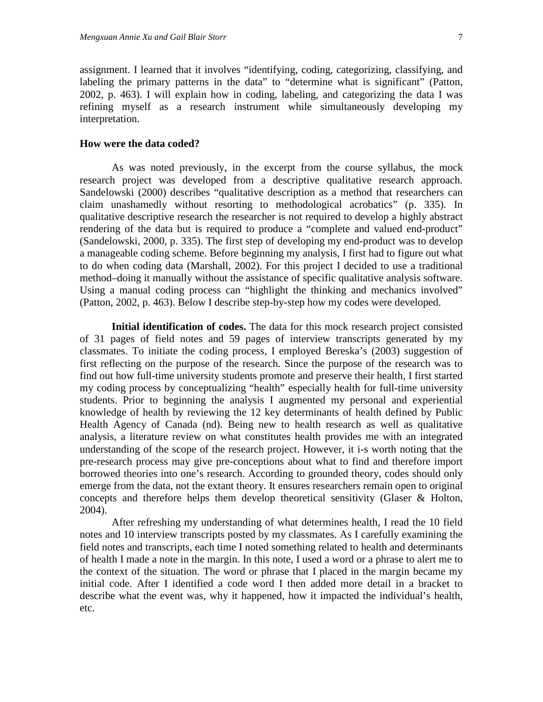assignment. I learned that it involves "identifying, coding, categorizing, classifying, and labeling the primary patterns in the data" to "determine what is significant" (Patton, 2002, p. 463). I will explain how in coding, labeling, and categorizing the data I was refining myself as a research instrument while simultaneously developing my interpretation.

# **How were the data coded?**

As was noted previously, in the excerpt from the course syllabus, the mock research project was developed from a descriptive qualitative research approach. Sandelowski (2000) describes "qualitative description as a method that researchers can claim unashamedly without resorting to methodological acrobatics" (p. 335). In qualitative descriptive research the researcher is not required to develop a highly abstract rendering of the data but is required to produce a "complete and valued end-product" (Sandelowski, 2000, p. 335). The first step of developing my end-product was to develop a manageable coding scheme. Before beginning my analysis, I first had to figure out what to do when coding data (Marshall, 2002). For this project I decided to use a traditional method–doing it manually without the assistance of specific qualitative analysis software. Using a manual coding process can "highlight the thinking and mechanics involved" (Patton, 2002, p. 463). Below I describe step-by-step how my codes were developed.

**Initial identification of codes.** The data for this mock research project consisted of 31 pages of field notes and 59 pages of interview transcripts generated by my classmates. To initiate the coding process, I employed Bereska's (2003) suggestion of first reflecting on the purpose of the research. Since the purpose of the research was to find out how full-time university students promote and preserve their health, I first started my coding process by conceptualizing "health" especially health for full-time university students. Prior to beginning the analysis I augmented my personal and experiential knowledge of health by reviewing the 12 key determinants of health defined by Public Health Agency of Canada (nd). Being new to health research as well as qualitative analysis, a literature review on what constitutes health provides me with an integrated understanding of the scope of the research project. However, it i-s worth noting that the pre-research process may give pre-conceptions about what to find and therefore import borrowed theories into one's research. According to grounded theory, codes should only emerge from the data, not the extant theory. It ensures researchers remain open to original concepts and therefore helps them develop theoretical sensitivity (Glaser & Holton, 2004).

After refreshing my understanding of what determines health, I read the 10 field notes and 10 interview transcripts posted by my classmates. As I carefully examining the field notes and transcripts, each time I noted something related to health and determinants of health I made a note in the margin. In this note, I used a word or a phrase to alert me to the context of the situation. The word or phrase that I placed in the margin became my initial code. After I identified a code word I then added more detail in a bracket to describe what the event was, why it happened, how it impacted the individual's health, etc.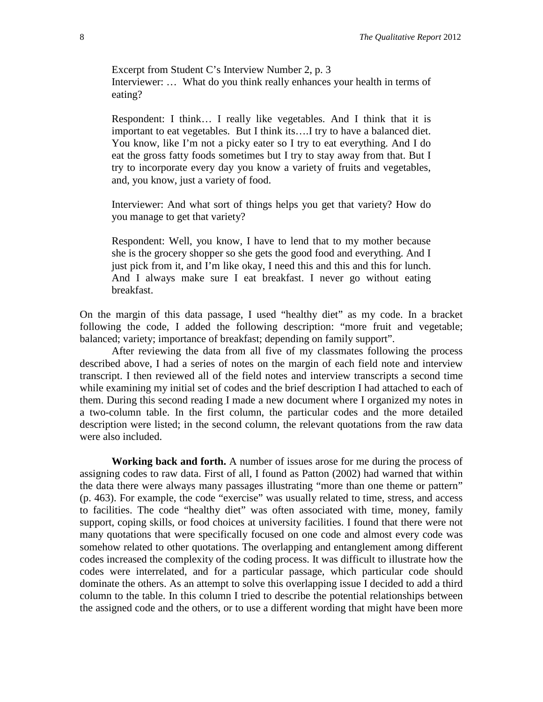Excerpt from Student C's Interview Number 2, p. 3 Interviewer: … What do you think really enhances your health in terms of eating?

Respondent: I think… I really like vegetables. And I think that it is important to eat vegetables. But I think its....I try to have a balanced diet. You know, like I'm not a picky eater so I try to eat everything. And I do eat the gross fatty foods sometimes but I try to stay away from that. But I try to incorporate every day you know a variety of fruits and vegetables, and, you know, just a variety of food.

Interviewer: And what sort of things helps you get that variety? How do you manage to get that variety?

Respondent: Well, you know, I have to lend that to my mother because she is the grocery shopper so she gets the good food and everything. And I just pick from it, and I'm like okay, I need this and this and this for lunch. And I always make sure I eat breakfast. I never go without eating breakfast.

On the margin of this data passage, I used "healthy diet" as my code. In a bracket following the code, I added the following description: "more fruit and vegetable; balanced; variety; importance of breakfast; depending on family support".

After reviewing the data from all five of my classmates following the process described above, I had a series of notes on the margin of each field note and interview transcript. I then reviewed all of the field notes and interview transcripts a second time while examining my initial set of codes and the brief description I had attached to each of them. During this second reading I made a new document where I organized my notes in a two-column table. In the first column, the particular codes and the more detailed description were listed; in the second column, the relevant quotations from the raw data were also included.

**Working back and forth.** A number of issues arose for me during the process of assigning codes to raw data. First of all, I found as Patton (2002) had warned that within the data there were always many passages illustrating "more than one theme or pattern" (p. 463). For example, the code "exercise" was usually related to time, stress, and access to facilities. The code "healthy diet" was often associated with time, money, family support, coping skills, or food choices at university facilities. I found that there were not many quotations that were specifically focused on one code and almost every code was somehow related to other quotations. The overlapping and entanglement among different codes increased the complexity of the coding process. It was difficult to illustrate how the codes were interrelated, and for a particular passage, which particular code should dominate the others. As an attempt to solve this overlapping issue I decided to add a third column to the table. In this column I tried to describe the potential relationships between the assigned code and the others, or to use a different wording that might have been more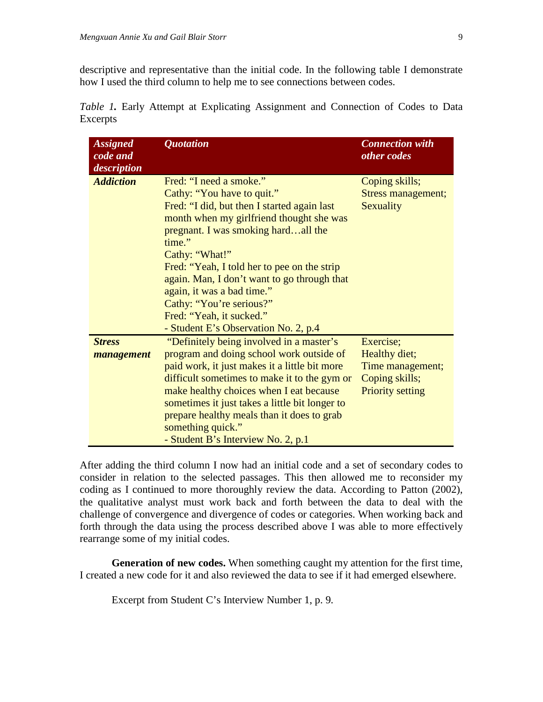descriptive and representative than the initial code. In the following table I demonstrate how I used the third column to help me to see connections between codes.

| <b>Assigned</b><br>code and<br>description | <b>Quotation</b>                                                                                                                                                                                                                                                                                                                                                                                                                                | <b>Connection with</b><br>other codes                                                       |
|--------------------------------------------|-------------------------------------------------------------------------------------------------------------------------------------------------------------------------------------------------------------------------------------------------------------------------------------------------------------------------------------------------------------------------------------------------------------------------------------------------|---------------------------------------------------------------------------------------------|
| <b>Addiction</b>                           | Fred: "I need a smoke."<br>Cathy: "You have to quit."<br>Fred: "I did, but then I started again last<br>month when my girlfriend thought she was<br>pregnant. I was smoking hardall the<br>time."<br>Cathy: "What!"<br>Fred: "Yeah, I told her to pee on the strip<br>again. Man, I don't want to go through that<br>again, it was a bad time."<br>Cathy: "You're serious?"<br>Fred: "Yeah, it sucked."<br>- Student E's Observation No. 2, p.4 | Coping skills;<br><b>Stress management;</b><br>Sexuality                                    |
| <b>Stress</b><br>management                | "Definitely being involved in a master's<br>program and doing school work outside of<br>paid work, it just makes it a little bit more<br>difficult sometimes to make it to the gym or<br>make healthy choices when I eat because<br>sometimes it just takes a little bit longer to<br>prepare healthy meals than it does to grab<br>something quick."<br>- Student B's Interview No. 2, p.1                                                     | Exercise;<br>Healthy diet;<br>Time management;<br>Coping skills;<br><b>Priority setting</b> |

*Table 1.* Early Attempt at Explicating Assignment and Connection of Codes to Data Excerpts

After adding the third column I now had an initial code and a set of secondary codes to consider in relation to the selected passages. This then allowed me to reconsider my coding as I continued to more thoroughly review the data. According to Patton (2002), the qualitative analyst must work back and forth between the data to deal with the challenge of convergence and divergence of codes or categories. When working back and forth through the data using the process described above I was able to more effectively rearrange some of my initial codes.

**Generation of new codes.** When something caught my attention for the first time, I created a new code for it and also reviewed the data to see if it had emerged elsewhere.

Excerpt from Student C's Interview Number 1, p. 9*.*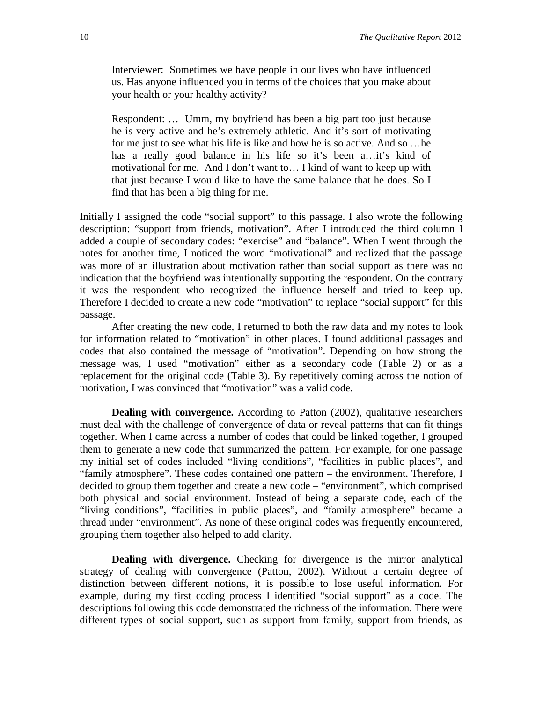Interviewer: Sometimes we have people in our lives who have influenced us. Has anyone influenced you in terms of the choices that you make about your health or your healthy activity?

Respondent: … Umm, my boyfriend has been a big part too just because he is very active and he's extremely athletic. And it's sort of motivating for me just to see what his life is like and how he is so active. And so …he has a really good balance in his life so it's been a...it's kind of motivational for me. And I don't want to… I kind of want to keep up with that just because I would like to have the same balance that he does. So I find that has been a big thing for me.

Initially I assigned the code "social support" to this passage. I also wrote the following description: "support from friends, motivation". After I introduced the third column I added a couple of secondary codes: "exercise" and "balance". When I went through the notes for another time, I noticed the word "motivational" and realized that the passage was more of an illustration about motivation rather than social support as there was no indication that the boyfriend was intentionally supporting the respondent. On the contrary it was the respondent who recognized the influence herself and tried to keep up. Therefore I decided to create a new code "motivation" to replace "social support" for this passage.

After creating the new code, I returned to both the raw data and my notes to look for information related to "motivation" in other places. I found additional passages and codes that also contained the message of "motivation". Depending on how strong the message was, I used "motivation" either as a secondary code (Table 2) or as a replacement for the original code (Table 3). By repetitively coming across the notion of motivation, I was convinced that "motivation" was a valid code.

**Dealing with convergence.** According to Patton (2002), qualitative researchers must deal with the challenge of convergence of data or reveal patterns that can fit things together. When I came across a number of codes that could be linked together, I grouped them to generate a new code that summarized the pattern. For example, for one passage my initial set of codes included "living conditions", "facilities in public places", and "family atmosphere". These codes contained one pattern – the environment. Therefore, I decided to group them together and create a new code – "environment", which comprised both physical and social environment. Instead of being a separate code, each of the "living conditions", "facilities in public places", and "family atmosphere" became a thread under "environment". As none of these original codes was frequently encountered, grouping them together also helped to add clarity.

**Dealing with divergence.** Checking for divergence is the mirror analytical strategy of dealing with convergence (Patton, 2002). Without a certain degree of distinction between different notions, it is possible to lose useful information. For example, during my first coding process I identified "social support" as a code. The descriptions following this code demonstrated the richness of the information. There were different types of social support, such as support from family, support from friends, as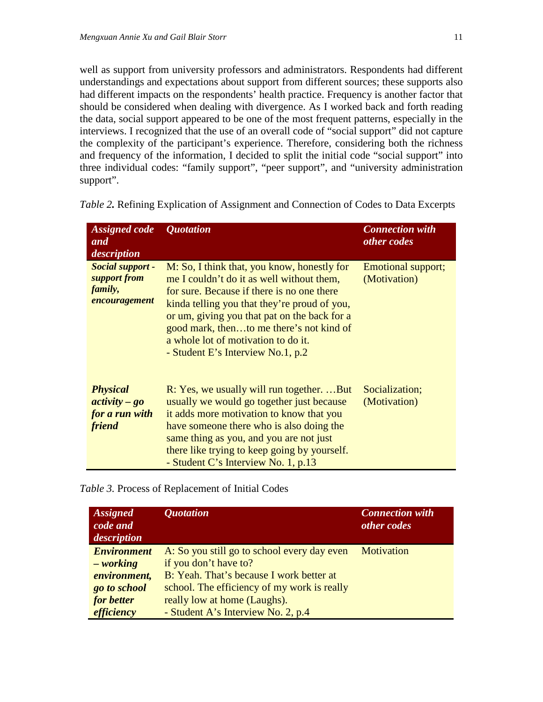well as support from university professors and administrators. Respondents had different understandings and expectations about support from different sources; these supports also had different impacts on the respondents' health practice. Frequency is another factor that should be considered when dealing with divergence. As I worked back and forth reading the data, social support appeared to be one of the most frequent patterns, especially in the interviews. I recognized that the use of an overall code of "social support" did not capture the complexity of the participant's experience. Therefore, considering both the richness and frequency of the information, I decided to split the initial code "social support" into three individual codes: "family support", "peer support", and "university administration support".

| <b>Assigned code</b><br>and<br>description                     | <i><b>Ouotation</b></i>                                                                                                                                                                                                                                                                                                                                        | <b>Connection with</b><br>other codes |
|----------------------------------------------------------------|----------------------------------------------------------------------------------------------------------------------------------------------------------------------------------------------------------------------------------------------------------------------------------------------------------------------------------------------------------------|---------------------------------------|
| Social support -<br>support from<br>family,<br>encouragement   | M: So, I think that, you know, honestly for<br>me I couldn't do it as well without them,<br>for sure. Because if there is no one there<br>kinda telling you that they're proud of you,<br>or um, giving you that pat on the back for a<br>good mark, thento me there's not kind of<br>a whole lot of motivation to do it.<br>- Student E's Interview No.1, p.2 | Emotional support;<br>(Motivation)    |
| <b>Physical</b><br>$activity - go$<br>for a run with<br>friend | R: Yes, we usually will run togetherBut<br>usually we would go together just because<br>it adds more motivation to know that you<br>have someone there who is also doing the<br>same thing as you, and you are not just<br>there like trying to keep going by yourself.<br>- Student C's Interview No. 1, p.13                                                 | Socialization;<br>(Motivation)        |

*Table 2.* Refining Explication of Assignment and Connection of Codes to Data Excerpts

*Table 3.* Process of Replacement of Initial Codes

| <b>Assigned</b><br>code and<br>description | <i><b>Quotation</b></i>                     | <b>Connection with</b><br>other codes |
|--------------------------------------------|---------------------------------------------|---------------------------------------|
| <b>Environment</b>                         | A: So you still go to school every day even | Motivation                            |
| - working                                  | if you don't have to?                       |                                       |
| environment,                               | B: Yeah. That's because I work better at    |                                       |
| go to school                               | school. The efficiency of my work is really |                                       |
| for better                                 | really low at home (Laughs).                |                                       |
| efficiency                                 | - Student A's Interview No. 2, p.4          |                                       |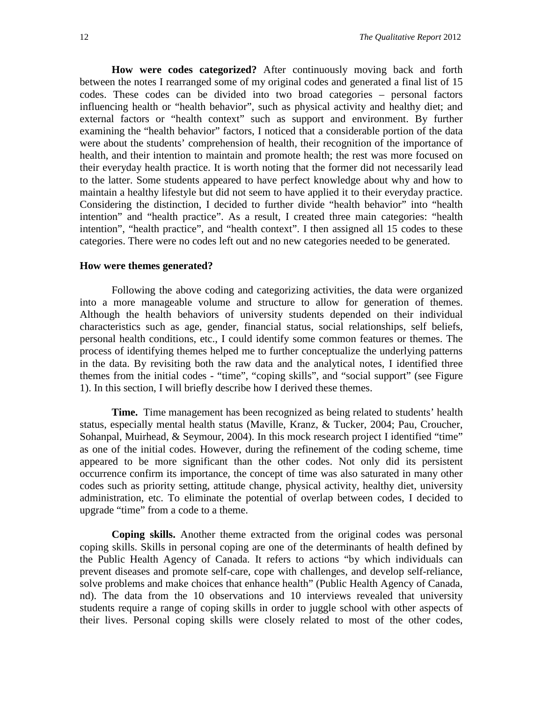**How were codes categorized?** After continuously moving back and forth between the notes I rearranged some of my original codes and generated a final list of 15 codes. These codes can be divided into two broad categories – personal factors influencing health or "health behavior", such as physical activity and healthy diet; and external factors or "health context" such as support and environment. By further examining the "health behavior" factors, I noticed that a considerable portion of the data were about the students' comprehension of health, their recognition of the importance of health, and their intention to maintain and promote health; the rest was more focused on their everyday health practice. It is worth noting that the former did not necessarily lead to the latter. Some students appeared to have perfect knowledge about why and how to maintain a healthy lifestyle but did not seem to have applied it to their everyday practice. Considering the distinction, I decided to further divide "health behavior" into "health intention" and "health practice". As a result, I created three main categories: "health intention", "health practice", and "health context". I then assigned all 15 codes to these categories. There were no codes left out and no new categories needed to be generated.

## **How were themes generated?**

Following the above coding and categorizing activities, the data were organized into a more manageable volume and structure to allow for generation of themes. Although the health behaviors of university students depended on their individual characteristics such as age, gender, financial status, social relationships, self beliefs, personal health conditions, etc., I could identify some common features or themes. The process of identifying themes helped me to further conceptualize the underlying patterns in the data. By revisiting both the raw data and the analytical notes, I identified three themes from the initial codes - "time", "coping skills", and "social support" (see Figure 1). In this section, I will briefly describe how I derived these themes.

**Time.** Time management has been recognized as being related to students' health status, especially mental health status (Maville, Kranz, & Tucker, 2004; Pau, Croucher, Sohanpal, Muirhead, & Seymour, 2004). In this mock research project I identified "time" as one of the initial codes. However, during the refinement of the coding scheme, time appeared to be more significant than the other codes. Not only did its persistent occurrence confirm its importance, the concept of time was also saturated in many other codes such as priority setting, attitude change, physical activity, healthy diet, university administration, etc. To eliminate the potential of overlap between codes, I decided to upgrade "time" from a code to a theme.

**Coping skills.** Another theme extracted from the original codes was personal coping skills. Skills in personal coping are one of the determinants of health defined by the Public Health Agency of Canada. It refers to actions "by which individuals can prevent diseases and promote self-care, cope with challenges, and develop self-reliance, solve problems and make choices that enhance health" (Public Health Agency of Canada, nd). The data from the 10 observations and 10 interviews revealed that university students require a range of coping skills in order to juggle school with other aspects of their lives. Personal coping skills were closely related to most of the other codes,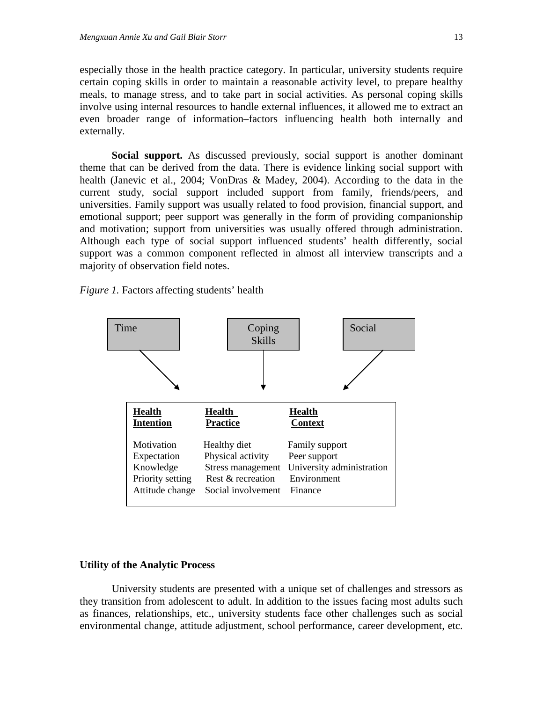especially those in the health practice category. In particular, university students require certain coping skills in order to maintain a reasonable activity level, to prepare healthy meals, to manage stress, and to take part in social activities. As personal coping skills involve using internal resources to handle external influences, it allowed me to extract an even broader range of information–factors influencing health both internally and externally.

**Social support.** As discussed previously, social support is another dominant theme that can be derived from the data. There is evidence linking social support with health (Janevic et al., 2004; VonDras & Madey, 2004). According to the data in the current study, social support included support from family, friends/peers, and universities. Family support was usually related to food provision, financial support, and emotional support; peer support was generally in the form of providing companionship and motivation; support from universities was usually offered through administration. Although each type of social support influenced students' health differently, social support was a common component reflected in almost all interview transcripts and a majority of observation field notes.

*Figure 1.* Factors affecting students' health



# **Utility of the Analytic Process**

University students are presented with a unique set of challenges and stressors as they transition from adolescent to adult. In addition to the issues facing most adults such as finances, relationships, etc., university students face other challenges such as social environmental change, attitude adjustment, school performance, career development, etc.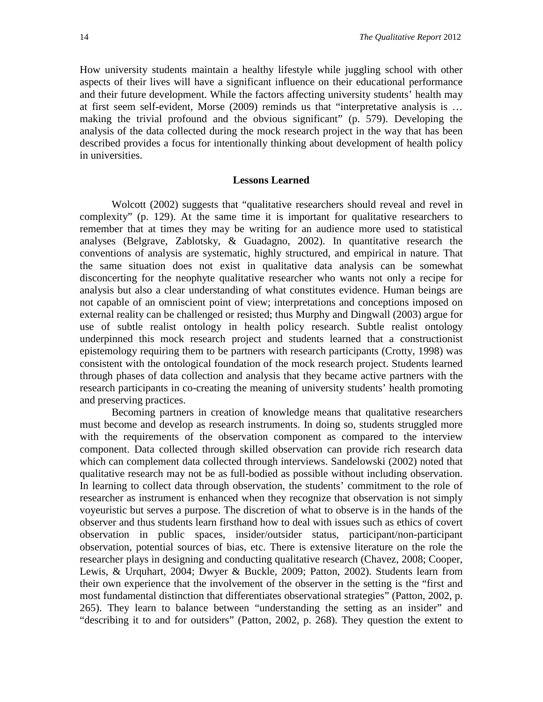How university students maintain a healthy lifestyle while juggling school with other aspects of their lives will have a significant influence on their educational performance and their future development. While the factors affecting university students' health may at first seem self-evident, Morse (2009) reminds us that "interpretative analysis is … making the trivial profound and the obvious significant" (p. 579). Developing the analysis of the data collected during the mock research project in the way that has been described provides a focus for intentionally thinking about development of health policy in universities.

## **Lessons Learned**

Wolcott (2002) suggests that "qualitative researchers should reveal and revel in complexity" (p. 129). At the same time it is important for qualitative researchers to remember that at times they may be writing for an audience more used to statistical analyses (Belgrave, Zablotsky, & Guadagno, 2002). In quantitative research the conventions of analysis are systematic, highly structured, and empirical in nature. That the same situation does not exist in qualitative data analysis can be somewhat disconcerting for the neophyte qualitative researcher who wants not only a recipe for analysis but also a clear understanding of what constitutes evidence. Human beings are not capable of an omniscient point of view; interpretations and conceptions imposed on external reality can be challenged or resisted; thus Murphy and Dingwall (2003) argue for use of subtle realist ontology in health policy research. Subtle realist ontology underpinned this mock research project and students learned that a constructionist epistemology requiring them to be partners with research participants (Crotty, 1998) was consistent with the ontological foundation of the mock research project. Students learned through phases of data collection and analysis that they became active partners with the research participants in co-creating the meaning of university students' health promoting and preserving practices.

Becoming partners in creation of knowledge means that qualitative researchers must become and develop as research instruments. In doing so, students struggled more with the requirements of the observation component as compared to the interview component. Data collected through skilled observation can provide rich research data which can complement data collected through interviews. Sandelowski (2002) noted that qualitative research may not be as full-bodied as possible without including observation. In learning to collect data through observation, the students' commitment to the role of researcher as instrument is enhanced when they recognize that observation is not simply voyeuristic but serves a purpose. The discretion of what to observe is in the hands of the observer and thus students learn firsthand how to deal with issues such as ethics of covert observation in public spaces, insider/outsider status, participant/non-participant observation, potential sources of bias, etc. There is extensive literature on the role the researcher plays in designing and conducting qualitative research (Chavez, 2008; Cooper, Lewis, & Urquhart, 2004; Dwyer & Buckle, 2009; Patton, 2002). Students learn from their own experience that the involvement of the observer in the setting is the "first and most fundamental distinction that differentiates observational strategies" (Patton, 2002, p. 265). They learn to balance between "understanding the setting as an insider" and "describing it to and for outsiders" (Patton, 2002, p. 268). They question the extent to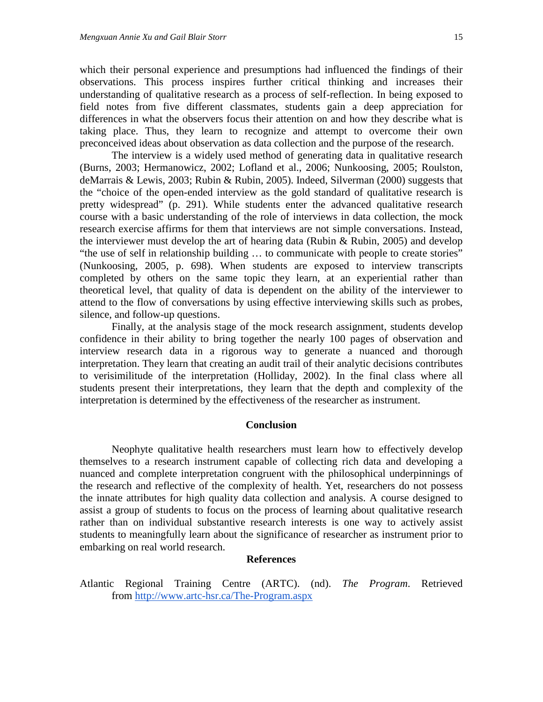which their personal experience and presumptions had influenced the findings of their observations. This process inspires further critical thinking and increases their understanding of qualitative research as a process of self-reflection. In being exposed to field notes from five different classmates, students gain a deep appreciation for differences in what the observers focus their attention on and how they describe what is taking place. Thus, they learn to recognize and attempt to overcome their own preconceived ideas about observation as data collection and the purpose of the research.

The interview is a widely used method of generating data in qualitative research (Burns, 2003; Hermanowicz, 2002; Lofland et al., 2006; Nunkoosing, 2005; Roulston, deMarrais & Lewis, 2003; Rubin & Rubin, 2005). Indeed, Silverman (2000) suggests that the "choice of the open-ended interview as the gold standard of qualitative research is pretty widespread" (p. 291). While students enter the advanced qualitative research course with a basic understanding of the role of interviews in data collection, the mock research exercise affirms for them that interviews are not simple conversations. Instead, the interviewer must develop the art of hearing data (Rubin & Rubin, 2005) and develop "the use of self in relationship building … to communicate with people to create stories" (Nunkoosing, 2005, p. 698). When students are exposed to interview transcripts completed by others on the same topic they learn, at an experiential rather than theoretical level, that quality of data is dependent on the ability of the interviewer to attend to the flow of conversations by using effective interviewing skills such as probes, silence, and follow-up questions.

Finally, at the analysis stage of the mock research assignment, students develop confidence in their ability to bring together the nearly 100 pages of observation and interview research data in a rigorous way to generate a nuanced and thorough interpretation. They learn that creating an audit trail of their analytic decisions contributes to verisimilitude of the interpretation (Holliday, 2002). In the final class where all students present their interpretations, they learn that the depth and complexity of the interpretation is determined by the effectiveness of the researcher as instrument.

#### **Conclusion**

Neophyte qualitative health researchers must learn how to effectively develop themselves to a research instrument capable of collecting rich data and developing a nuanced and complete interpretation congruent with the philosophical underpinnings of the research and reflective of the complexity of health. Yet, researchers do not possess the innate attributes for high quality data collection and analysis. A course designed to assist a group of students to focus on the process of learning about qualitative research rather than on individual substantive research interests is one way to actively assist students to meaningfully learn about the significance of researcher as instrument prior to embarking on real world research.

#### **References**

Atlantic Regional Training Centre (ARTC). (nd). *The Program*. Retrieved from <http://www.artc-hsr.ca/The-Program.aspx>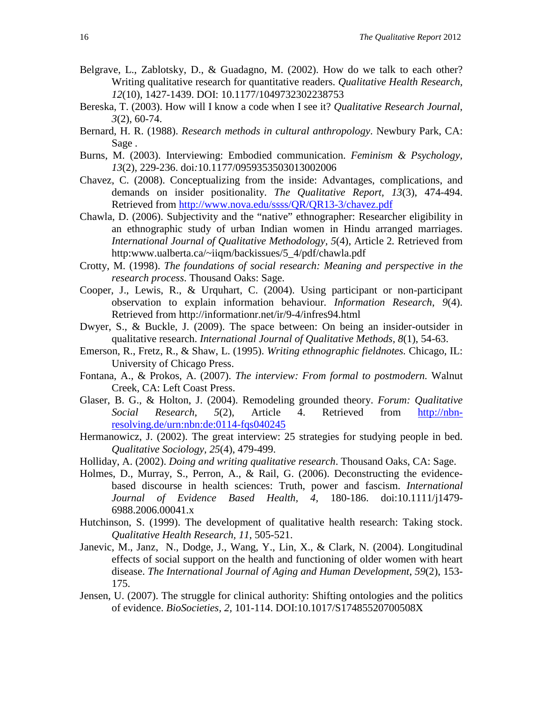- Belgrave, L., Zablotsky, D., & Guadagno, M. (2002). How do we talk to each other? Writing qualitative research for quantitative readers. *Qualitative Health Research, 12*(10), 1427-1439. DOI: 10.1177/1049732302238753
- Bereska, T. (2003). How will I know a code when I see it? *Qualitative Research Journal*, *3*(2), 60-74.
- Bernard, H. R. (1988). *Research methods in cultural anthropology*. Newbury Park, CA: Sage .
- Burns, M. (2003). Interviewing: Embodied communication. *Feminism & Psychology, 13*(2), 229-236. doi*:*10.1177/0959353503013002006
- Chavez, C. (2008). Conceptualizing from the inside: Advantages, complications, and demands on insider positionality. *The Qualitative Report, 13*(3), 474-494. Retrieved from<http://www.nova.edu/ssss/QR/QR13-3/chavez.pdf>
- Chawla, D. (2006). Subjectivity and the "native" ethnographer: Researcher eligibility in an ethnographic study of urban Indian women in Hindu arranged marriages. *International Journal of Qualitative Methodology, 5*(4), Article 2*.* Retrieved from http:www.ualberta.ca/~iiqm/backissues/5\_4/pdf/chawla.pdf
- Crotty, M. (1998). *The foundations of social research: Meaning and perspective in the research process*. Thousand Oaks: Sage.
- Cooper, J., Lewis, R., & Urquhart, C. (2004). Using participant or non-participant observation to explain information behaviour*. Information Research*, *9*(4). Retrieved from http://informationr.net/ir/9-4/infres94.html
- Dwyer, S., & Buckle, J. (2009). The space between: On being an insider-outsider in qualitative research. *International Journal of Qualitative Methods, 8*(1), 54-63.
- Emerson, R., Fretz, R., & Shaw, L. (1995). *Writing ethnographic fieldnotes.* Chicago, IL: University of Chicago Press.
- Fontana, A., & Prokos, A. (2007). *The interview: From formal to postmodern.* Walnut Creek, CA: Left Coast Press.
- Glaser, B. G., & Holton, J. (2004). Remodeling grounded theory. *Forum: Qualitative Social Research*, *5*(2), Article 4. Retrieved from [http://nbn](http://nbn-resolving.de/urn:nbn:de:0114-fqs040245)[resolving.de/urn:nbn:de:0114-fqs040245](http://nbn-resolving.de/urn:nbn:de:0114-fqs040245)
- Hermanowicz, J. (2002). The great interview: 25 strategies for studying people in bed. *Qualitative Sociology, 25*(4), 479-499.
- Holliday, A. (2002). *Doing and writing qualitative research*. Thousand Oaks, CA: Sage.
- Holmes, D., Murray, S., Perron, A., & Rail, G. (2006). Deconstructing the evidencebased discourse in health sciences: Truth, power and fascism. *International Journal of Evidence Based Health, 4,* 180-186. doi:10.1111/j1479- 6988.2006.00041.x
- Hutchinson, S. (1999). The development of qualitative health research: Taking stock. *Qualitative Health Research, 11*, 505-521.
- Janevic, M., Janz, N., Dodge, J., Wang, Y., Lin, X., & Clark, N. (2004). Longitudinal effects of social support on the health and functioning of older women with heart disease. *The International Journal of Aging and Human Development*, *59*(2), 153- 175.
- Jensen, U. (2007). The struggle for clinical authority: Shifting ontologies and the politics of evidence. *BioSocieties, 2,* 101-114. DOI:10.1017/S17485520700508X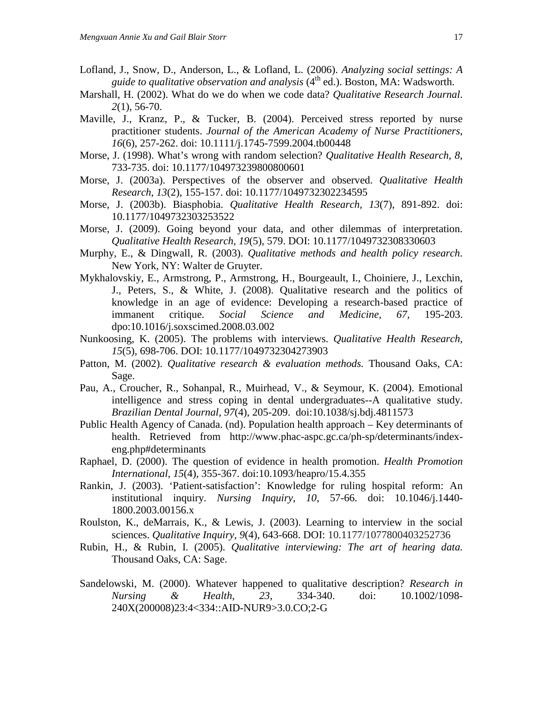- Lofland, J., Snow, D., Anderson, L., & Lofland, L. (2006). *Analyzing social settings: A guide to qualitative observation and analysis* (4<sup>th</sup> ed.). Boston, MA: Wadsworth.
- Marshall, H. (2002). What do we do when we code data? *Qualitative Research Journal*. *2*(1), 56-70.
- Maville, J., Kranz, P., & Tucker, B. (2004). Perceived stress reported by nurse practitioner students. *Journal of the American Academy of Nurse Practitioners*, *16*(6), 257-262. doi: 10.1111/j.1745-7599.2004.tb00448
- Morse, J. (1998). What's wrong with random selection? *Qualitative Health Research, 8*, 733-735. doi: 10.1177/104973239800800601
- Morse, J. (2003a). Perspectives of the observer and observed. *Qualitative Health Research, 13*(2), 155-157. doi: 10.1177/1049732302234595
- Morse, J. (2003b). Biasphobia. *Qualitative Health Research, 13*(7), 891-892. doi: 10.1177/1049732303253522
- Morse, J. (2009). Going beyond your data, and other dilemmas of interpretation. *Qualitative Health Research, 19*(5), 579. DOI: 10.1177/1049732308330603
- Murphy, E., & Dingwall, R. (2003). *Qualitative methods and health policy research*. New York, NY: Walter de Gruyter.
- Mykhalovskiy, E., Armstrong, P., Armstrong, H., Bourgeault, I., Choiniere, J., Lexchin, J., Peters, S., & White, J. (2008). Qualitative research and the politics of knowledge in an age of evidence: Developing a research-based practice of immanent critique. *Social Science and Medicine, 67,* 195-203. dpo:10.1016/j.soxscimed.2008.03.002
- Nunkoosing, K. (2005). The problems with interviews. *Qualitative Health Research, 15*(5), 698-706. DOI: 10.1177/1049732304273903
- Patton, M. (2002). *Qualitative research & evaluation methods.* Thousand Oaks, CA: Sage.
- Pau, A., Croucher, R., Sohanpal, R., Muirhead, V., & Seymour, K. (2004). Emotional intelligence and stress coping in dental undergraduates--A qualitative study. *Brazilian Dental Journal*, *97*(4), 205-209. doi:10.1038/sj.bdj.4811573
- Public Health Agency of Canada. (nd). Population health approach Key determinants of health. Retrieved from http://www.phac-aspc.gc.ca/ph-sp/determinants/indexeng.php#determinants
- Raphael, D. (2000). The question of evidence in health promotion. *Health Promotion International, 15*(4), 355-367. doi:10.1093/heapro/15.4.355
- Rankin, J. (2003). 'Patient-satisfaction': Knowledge for ruling hospital reform: An institutional inquiry. *Nursing Inquiry*, *10*, 57-66. doi: 10.1046/j.1440- 1800.2003.00156.x
- Roulston, K., deMarrais, K., & Lewis, J. (2003). Learning to interview in the social sciences. *Qualitative Inquiry, 9*(4), 643-668. DOI: 10.1177/1077800403252736
- Rubin, H., & Rubin, I. (2005). *Qualitative interviewing: The art of hearing data.* Thousand Oaks, CA: Sage.
- Sandelowski, M. (2000). Whatever happened to qualitative description? *Research in Nursing & Health, 23*, 334-340. doi: 10.1002/1098- 240X(200008)23:4<334::AID-NUR9>3.0.CO;2-G